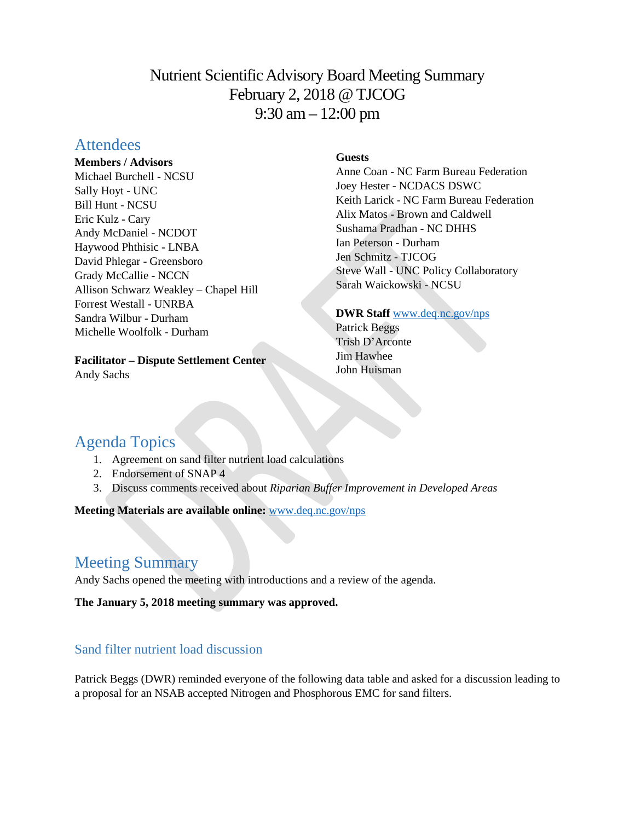# Nutrient Scientific Advisory Board Meeting Summary February 2, 2018 @ TJCOG 9:30 am – 12:00 pm

# **Attendees**

#### **Members / Advisors**

Michael Burchell - NCSU Sally Hoyt - UNC Bill Hunt - NCSU Eric Kulz - Cary Andy McDaniel - NCDOT Haywood Phthisic - LNBA David Phlegar - Greensboro Grady McCallie - NCCN Allison Schwarz Weakley – Chapel Hill Forrest Westall - UNRBA Sandra Wilbur - Durham Michelle Woolfolk - Durham

### **Facilitator – Dispute Settlement Center**

Andy Sachs

## **Guests**

Anne Coan - NC Farm Bureau Federation Joey Hester - NCDACS DSWC Keith Larick - NC Farm Bureau Federation Alix Matos - Brown and Caldwell Sushama Pradhan - NC DHHS Ian Peterson - Durham Jen Schmitz - TJCOG Steve Wall - UNC Policy Collaboratory Sarah Waickowski - NCSU

### **DWR Staff** [www.deq.nc.gov/nps](http://www.deq.nc.gov/nps)

Patrick Beggs Trish D'Arconte Jim Hawhee John Huisman

# Agenda Topics

- 1. Agreement on sand filter nutrient load calculations
- 2. Endorsement of SNAP 4
- 3. Discuss comments received about *Riparian Buffer Improvement in Developed Areas*

**Meeting Materials are available online:** [www.deq.nc.gov/nps](https://deq.nc.gov/about/divisions/water-resources/planning/nonpoint-source-management/nutrient-scientific-advisory-board/meeting-documents)

# Meeting Summary

Andy Sachs opened the meeting with introductions and a review of the agenda.

**The January 5, 2018 meeting summary was approved.** 

# Sand filter nutrient load discussion

Patrick Beggs (DWR) reminded everyone of the following data table and asked for a discussion leading to a proposal for an NSAB accepted Nitrogen and Phosphorous EMC for sand filters.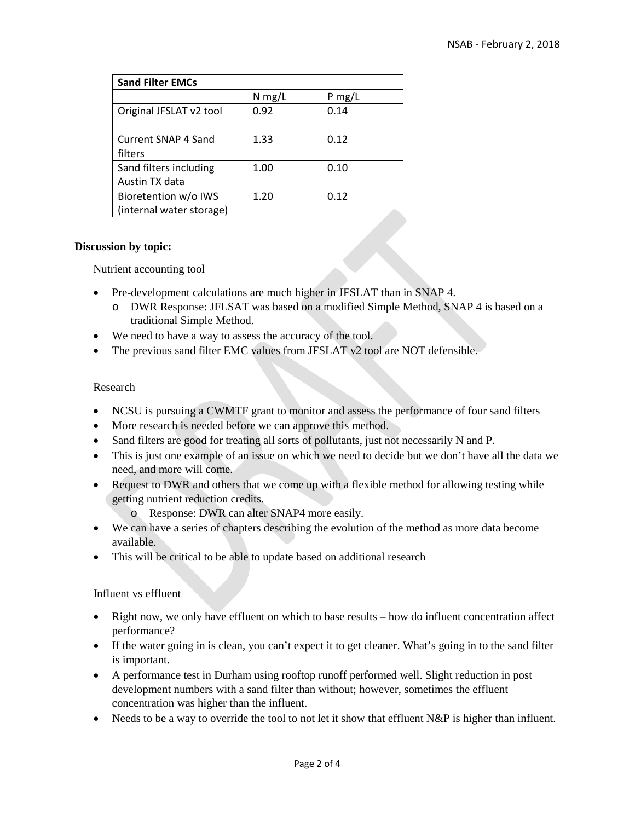| <b>Sand Filter EMCs</b>  |          |          |
|--------------------------|----------|----------|
|                          | $N$ mg/L | $P$ mg/L |
| Original JFSLAT v2 tool  | 0.92     | 0.14     |
| Current SNAP 4 Sand      | 1.33     | 0.12     |
| filters                  |          |          |
| Sand filters including   | 1.00     | 0.10     |
| Austin TX data           |          |          |
| Bioretention w/o IWS     | 1.20     | 0.12     |
| (internal water storage) |          |          |

#### **Discussion by topic:**

Nutrient accounting tool

- Pre-development calculations are much higher in JFSLAT than in SNAP 4.
	- o DWR Response: JFLSAT was based on a modified Simple Method, SNAP 4 is based on a traditional Simple Method.
- We need to have a way to assess the accuracy of the tool.
- The previous sand filter EMC values from JFSLAT v2 tool are NOT defensible.

#### Research

- NCSU is pursuing a CWMTF grant to monitor and assess the performance of four sand filters
- More research is needed before we can approve this method.
- Sand filters are good for treating all sorts of pollutants, just not necessarily N and P.
- This is just one example of an issue on which we need to decide but we don't have all the data we need, and more will come.
- Request to DWR and others that we come up with a flexible method for allowing testing while getting nutrient reduction credits.
	- o Response: DWR can alter SNAP4 more easily.
- We can have a series of chapters describing the evolution of the method as more data become available.
- This will be critical to be able to update based on additional research

Influent vs effluent

- Right now, we only have effluent on which to base results how do influent concentration affect performance?
- If the water going in is clean, you can't expect it to get cleaner. What's going in to the sand filter is important.
- A performance test in Durham using rooftop runoff performed well. Slight reduction in post development numbers with a sand filter than without; however, sometimes the effluent concentration was higher than the influent.
- Needs to be a way to override the tool to not let it show that effluent N&P is higher than influent.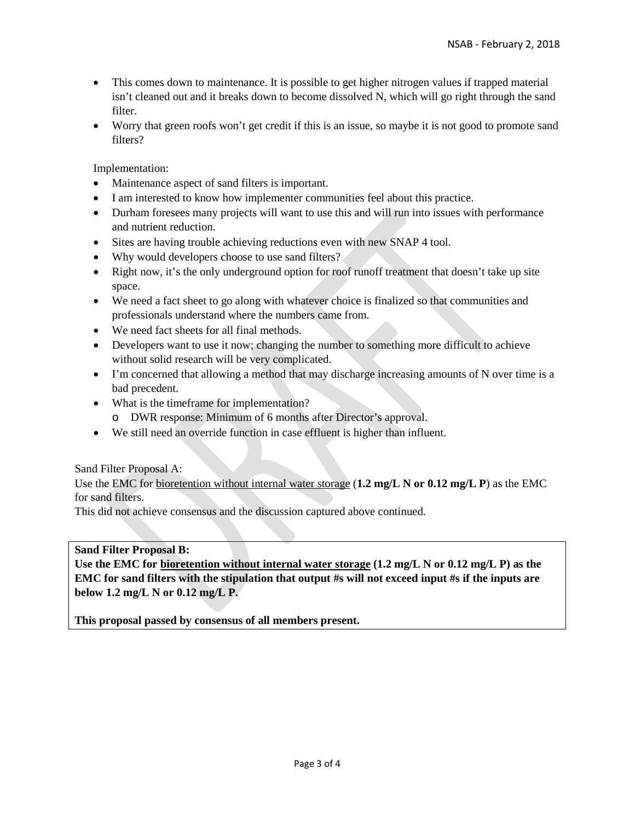- This comes down to maintenance. It is possible to get higher nitrogen values if trapped material isn't cleaned out and it breaks down to become dissolved N, which will go right through the sand filter.
- Worry that green roofs won't get credit if this is an issue, so maybe it is not good to promote sand filters?

Implementation:

- Maintenance aspect of sand filters is important.
- I am interested to know how implementer communities feel about this practice.
- Durham fore sees many projects will want to use this and will run into issues with performance and nutrient reduction.
- Sites are having trouble achieving reductions even with new SNAP 4 tool.
- Why would developers choose to use sand filters?
- Right now, it's the only underground option for roof runoff treatment that doesn't take up site space.
- We need a fact sheet to go along with whatever choice is finalized so that communities and professionals understand where the numbers came from.
- We need fact sheets for all final methods.
- Developers want to use it now; changing the number to something more difficult to achieve without solid research will be very complicated.
- I'm concerned that allowing a method that may discharge increasing amounts of N over time is a bad precedent.
- What is the timeframe for implementation?
	- o DWR response: Minimum of 6 months after Director's approval.
- We still need an override function in case effluent is higher than influent.

Sand Filter Proposal A:

Use the EMC for bioretention without internal water storage (**1.2 mg/L N or 0.12 mg/L P**) as the EMC for sand filters.

This did not achieve consensus and the discussion captured above continued.

#### **Sand Filter Proposal B:**

**Use the EMC for bioretention without internal water storage (1.2 mg/L N or 0.12 mg/L P) as the EMC for sand filters with the stipulation that output #s will not exceed input #s if the inputs are below 1.2 mg/L N or 0.12 mg/L P.**

**This proposal passed by consensus of all members present.**